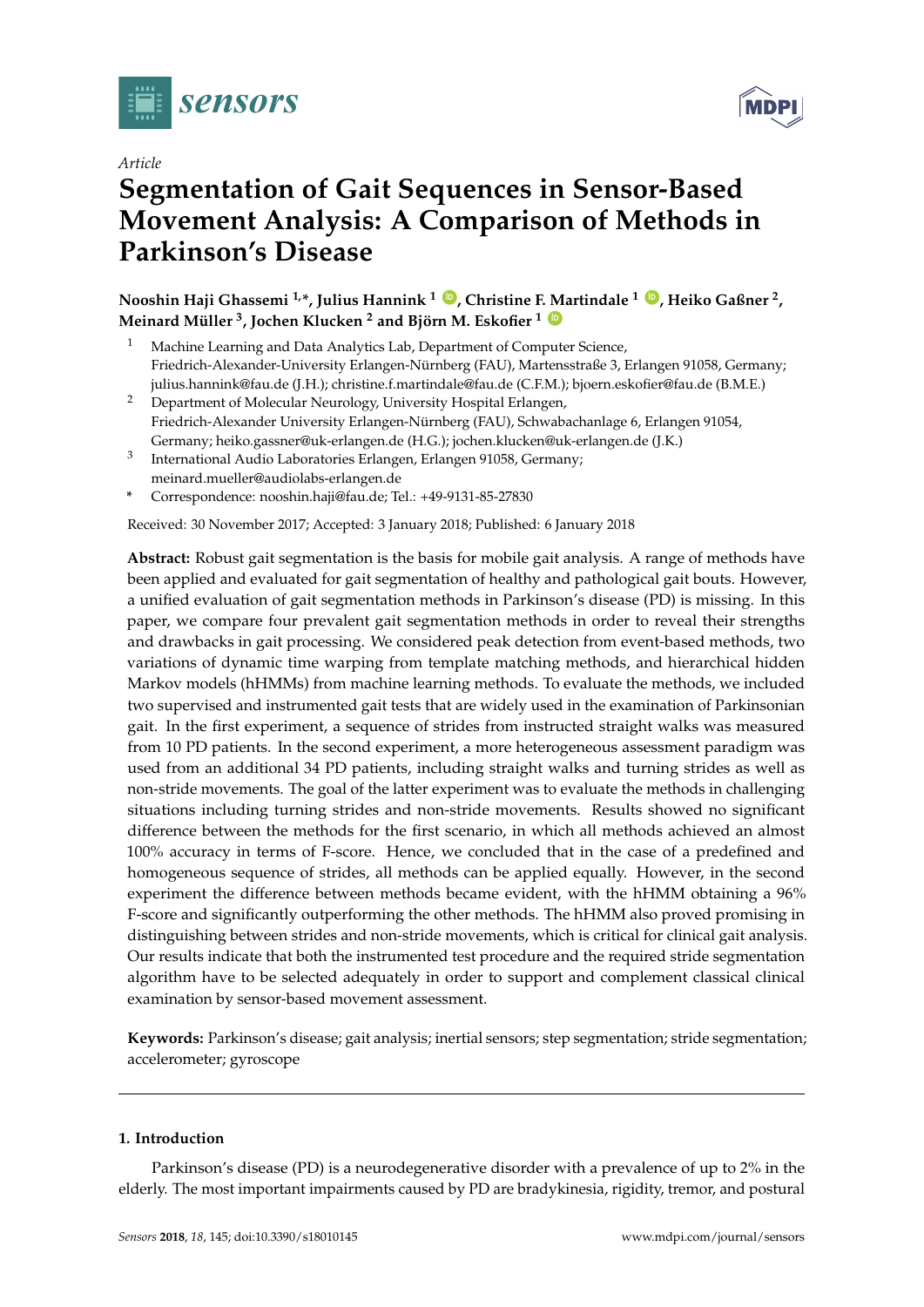



# **Segmentation of Gait Sequences in Sensor-Based Movement Analysis: A Comparison of Methods in Parkinson's Disease**

**Nooshin Haji Ghassemi 1,\*, Julius Hannink <sup>1</sup> [ID](https://orcid.org/0000-0002-9542-0694) , Christine F. Martindale <sup>1</sup> [ID](https://orcid.org/0000-0002-9397-5944) , Heiko Gaßner <sup>2</sup> , Meinard Müller <sup>3</sup> , Jochen Klucken <sup>2</sup> and Björn M. Eskofier <sup>1</sup> [ID](https://orcid.org/0000-0002-0417-0336)**

- Machine Learning and Data Analytics Lab, Department of Computer Science, Friedrich-Alexander-University Erlangen-Nürnberg (FAU), Martensstraße 3, Erlangen 91058, Germany; julius.hannink@fau.de (J.H.); christine.f.martindale@fau.de (C.F.M.); bjoern.eskofier@fau.de (B.M.E.)
- <sup>2</sup> Department of Molecular Neurology, University Hospital Erlangen, Friedrich-Alexander University Erlangen-Nürnberg (FAU), Schwabachanlage 6, Erlangen 91054, Germany; heiko.gassner@uk-erlangen.de (H.G.); jochen.klucken@uk-erlangen.de (J.K.)
- 3 International Audio Laboratories Erlangen, Erlangen 91058, Germany; meinard.mueller@audiolabs-erlangen.de
- **\*** Correspondence: nooshin.haji@fau.de; Tel.: +49-9131-85-27830

Received: 30 November 2017; Accepted: 3 January 2018; Published: 6 January 2018

**Abstract:** Robust gait segmentation is the basis for mobile gait analysis. A range of methods have been applied and evaluated for gait segmentation of healthy and pathological gait bouts. However, a unified evaluation of gait segmentation methods in Parkinson's disease (PD) is missing. In this paper, we compare four prevalent gait segmentation methods in order to reveal their strengths and drawbacks in gait processing. We considered peak detection from event-based methods, two variations of dynamic time warping from template matching methods, and hierarchical hidden Markov models (hHMMs) from machine learning methods. To evaluate the methods, we included two supervised and instrumented gait tests that are widely used in the examination of Parkinsonian gait. In the first experiment, a sequence of strides from instructed straight walks was measured from 10 PD patients. In the second experiment, a more heterogeneous assessment paradigm was used from an additional 34 PD patients, including straight walks and turning strides as well as non-stride movements. The goal of the latter experiment was to evaluate the methods in challenging situations including turning strides and non-stride movements. Results showed no significant difference between the methods for the first scenario, in which all methods achieved an almost 100% accuracy in terms of F-score. Hence, we concluded that in the case of a predefined and homogeneous sequence of strides, all methods can be applied equally. However, in the second experiment the difference between methods became evident, with the hHMM obtaining a 96% F-score and significantly outperforming the other methods. The hHMM also proved promising in distinguishing between strides and non-stride movements, which is critical for clinical gait analysis. Our results indicate that both the instrumented test procedure and the required stride segmentation algorithm have to be selected adequately in order to support and complement classical clinical examination by sensor-based movement assessment.

**Keywords:** Parkinson's disease; gait analysis; inertial sensors; step segmentation; stride segmentation; accelerometer; gyroscope

# **1. Introduction**

Parkinson's disease (PD) is a neurodegenerative disorder with a prevalence of up to 2% in the elderly. The most important impairments caused by PD are bradykinesia, rigidity, tremor, and postural

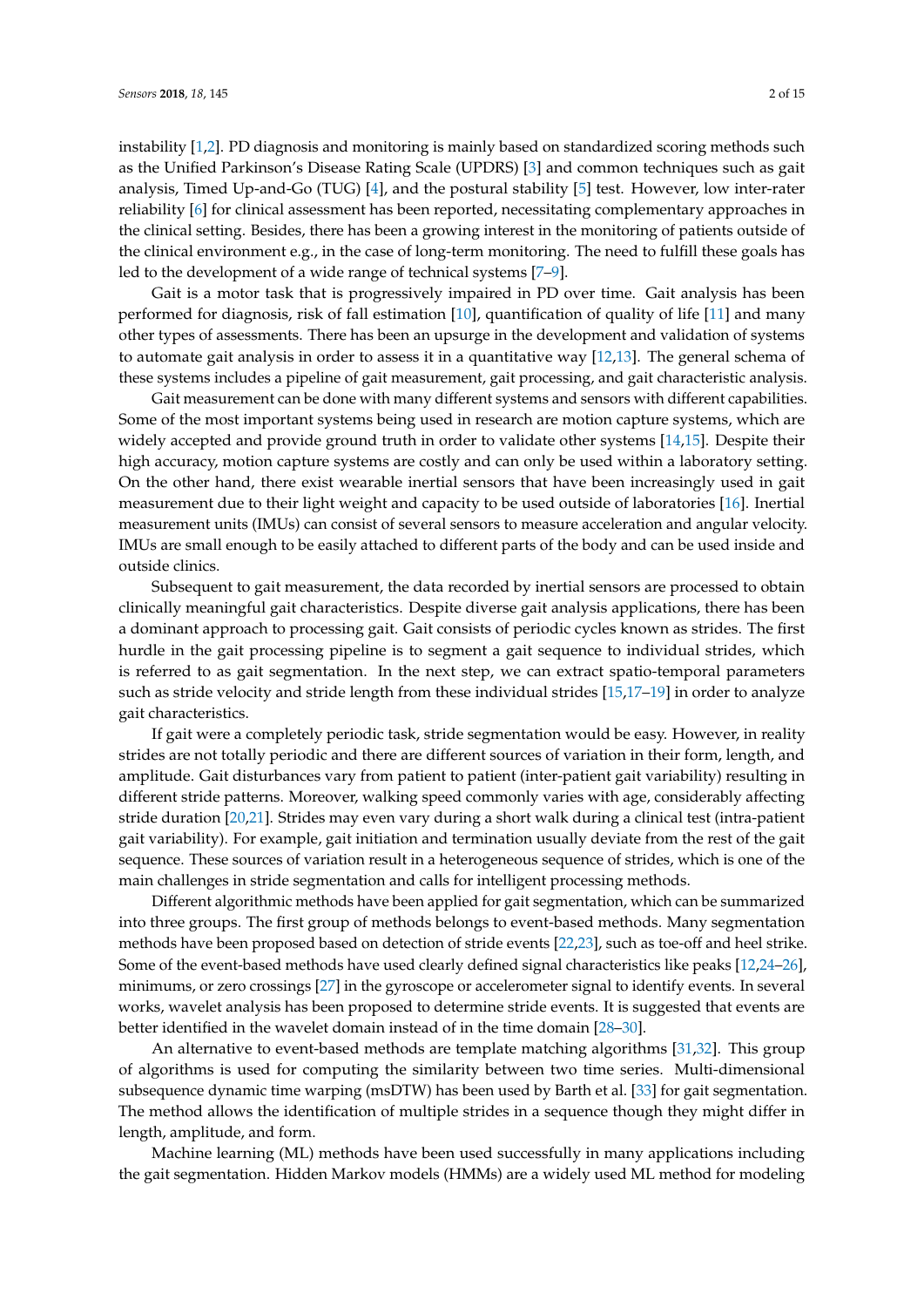instability [\[1,](#page-12-0)[2\]](#page-12-1). PD diagnosis and monitoring is mainly based on standardized scoring methods such as the Unified Parkinson's Disease Rating Scale (UPDRS) [\[3\]](#page-12-2) and common techniques such as gait analysis, Timed Up-and-Go (TUG) [\[4\]](#page-12-3), and the postural stability [\[5\]](#page-12-4) test. However, low inter-rater reliability [\[6\]](#page-12-5) for clinical assessment has been reported, necessitating complementary approaches in the clinical setting. Besides, there has been a growing interest in the monitoring of patients outside of the clinical environment e.g., in the case of long-term monitoring. The need to fulfill these goals has led to the development of a wide range of technical systems [\[7–](#page-12-6)[9\]](#page-12-7).

Gait is a motor task that is progressively impaired in PD over time. Gait analysis has been performed for diagnosis, risk of fall estimation [\[10\]](#page-12-8), quantification of quality of life [\[11\]](#page-12-9) and many other types of assessments. There has been an upsurge in the development and validation of systems to automate gait analysis in order to assess it in a quantitative way [\[12,](#page-12-10)[13\]](#page-12-11). The general schema of these systems includes a pipeline of gait measurement, gait processing, and gait characteristic analysis.

Gait measurement can be done with many different systems and sensors with different capabilities. Some of the most important systems being used in research are motion capture systems, which are widely accepted and provide ground truth in order to validate other systems [\[14,](#page-12-12)[15\]](#page-12-13). Despite their high accuracy, motion capture systems are costly and can only be used within a laboratory setting. On the other hand, there exist wearable inertial sensors that have been increasingly used in gait measurement due to their light weight and capacity to be used outside of laboratories [\[16\]](#page-12-14). Inertial measurement units (IMUs) can consist of several sensors to measure acceleration and angular velocity. IMUs are small enough to be easily attached to different parts of the body and can be used inside and outside clinics.

Subsequent to gait measurement, the data recorded by inertial sensors are processed to obtain clinically meaningful gait characteristics. Despite diverse gait analysis applications, there has been a dominant approach to processing gait. Gait consists of periodic cycles known as strides. The first hurdle in the gait processing pipeline is to segment a gait sequence to individual strides, which is referred to as gait segmentation. In the next step, we can extract spatio-temporal parameters such as stride velocity and stride length from these individual strides [\[15](#page-12-13)[,17–](#page-12-15)[19\]](#page-12-16) in order to analyze gait characteristics.

If gait were a completely periodic task, stride segmentation would be easy. However, in reality strides are not totally periodic and there are different sources of variation in their form, length, and amplitude. Gait disturbances vary from patient to patient (inter-patient gait variability) resulting in different stride patterns. Moreover, walking speed commonly varies with age, considerably affecting stride duration [\[20,](#page-12-17)[21\]](#page-12-18). Strides may even vary during a short walk during a clinical test (intra-patient gait variability). For example, gait initiation and termination usually deviate from the rest of the gait sequence. These sources of variation result in a heterogeneous sequence of strides, which is one of the main challenges in stride segmentation and calls for intelligent processing methods.

Different algorithmic methods have been applied for gait segmentation, which can be summarized into three groups. The first group of methods belongs to event-based methods. Many segmentation methods have been proposed based on detection of stride events [\[22,](#page-12-19)[23\]](#page-13-0), such as toe-off and heel strike. Some of the event-based methods have used clearly defined signal characteristics like peaks [\[12](#page-12-10)[,24](#page-13-1)[–26\]](#page-13-2), minimums, or zero crossings [\[27\]](#page-13-3) in the gyroscope or accelerometer signal to identify events. In several works, wavelet analysis has been proposed to determine stride events. It is suggested that events are better identified in the wavelet domain instead of in the time domain [\[28–](#page-13-4)[30\]](#page-13-5).

An alternative to event-based methods are template matching algorithms [\[31](#page-13-6)[,32\]](#page-13-7). This group of algorithms is used for computing the similarity between two time series. Multi-dimensional subsequence dynamic time warping (msDTW) has been used by Barth et al. [\[33\]](#page-13-8) for gait segmentation. The method allows the identification of multiple strides in a sequence though they might differ in length, amplitude, and form.

Machine learning (ML) methods have been used successfully in many applications including the gait segmentation. Hidden Markov models (HMMs) are a widely used ML method for modeling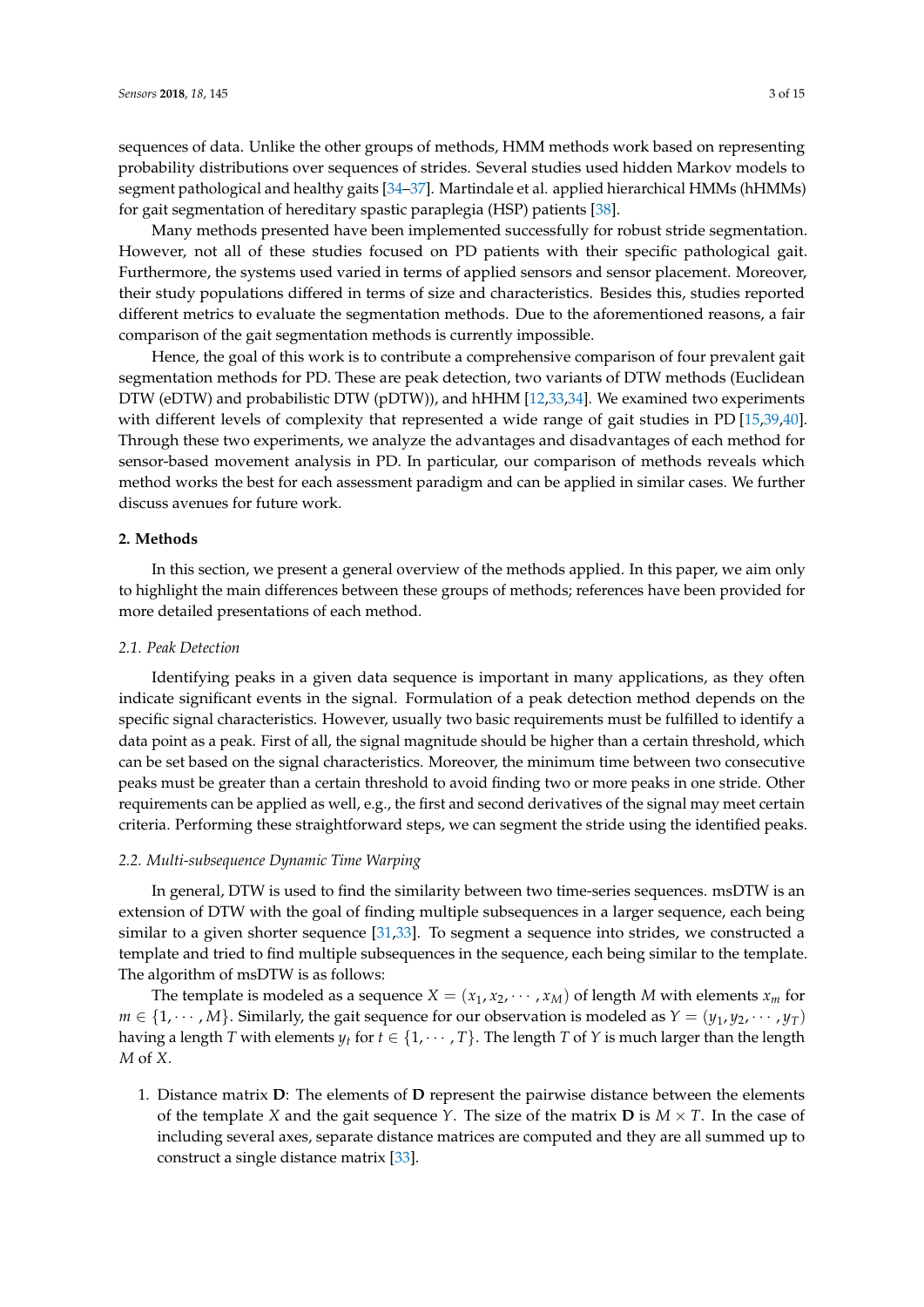sequences of data. Unlike the other groups of methods, HMM methods work based on representing probability distributions over sequences of strides. Several studies used hidden Markov models to segment pathological and healthy gaits [\[34–](#page-13-9)[37\]](#page-13-10). Martindale et al. applied hierarchical HMMs (hHMMs) for gait segmentation of hereditary spastic paraplegia (HSP) patients [\[38\]](#page-13-11).

Many methods presented have been implemented successfully for robust stride segmentation. However, not all of these studies focused on PD patients with their specific pathological gait. Furthermore, the systems used varied in terms of applied sensors and sensor placement. Moreover, their study populations differed in terms of size and characteristics. Besides this, studies reported different metrics to evaluate the segmentation methods. Due to the aforementioned reasons, a fair comparison of the gait segmentation methods is currently impossible.

Hence, the goal of this work is to contribute a comprehensive comparison of four prevalent gait segmentation methods for PD. These are peak detection, two variants of DTW methods (Euclidean DTW (eDTW) and probabilistic DTW (pDTW)), and hHHM [\[12,](#page-12-10)[33,](#page-13-8)[34\]](#page-13-9). We examined two experiments with different levels of complexity that represented a wide range of gait studies in PD [\[15](#page-12-13)[,39,](#page-13-12)[40\]](#page-13-13). Through these two experiments, we analyze the advantages and disadvantages of each method for sensor-based movement analysis in PD. In particular, our comparison of methods reveals which method works the best for each assessment paradigm and can be applied in similar cases. We further discuss avenues for future work.

## **2. Methods**

In this section, we present a general overview of the methods applied. In this paper, we aim only to highlight the main differences between these groups of methods; references have been provided for more detailed presentations of each method.

#### *2.1. Peak Detection*

Identifying peaks in a given data sequence is important in many applications, as they often indicate significant events in the signal. Formulation of a peak detection method depends on the specific signal characteristics. However, usually two basic requirements must be fulfilled to identify a data point as a peak. First of all, the signal magnitude should be higher than a certain threshold, which can be set based on the signal characteristics. Moreover, the minimum time between two consecutive peaks must be greater than a certain threshold to avoid finding two or more peaks in one stride. Other requirements can be applied as well, e.g., the first and second derivatives of the signal may meet certain criteria. Performing these straightforward steps, we can segment the stride using the identified peaks.

#### <span id="page-2-0"></span>*2.2. Multi-subsequence Dynamic Time Warping*

In general, DTW is used to find the similarity between two time-series sequences. msDTW is an extension of DTW with the goal of finding multiple subsequences in a larger sequence, each being similar to a given shorter sequence [\[31](#page-13-6)[,33\]](#page-13-8). To segment a sequence into strides, we constructed a template and tried to find multiple subsequences in the sequence, each being similar to the template. The algorithm of msDTW is as follows:

The template is modeled as a sequence  $X = (x_1, x_2, \dots, x_M)$  of length *M* with elements  $x_m$  for  $m \in \{1, \dots, M\}$ . Similarly, the gait sequence for our observation is modeled as  $Y = (y_1, y_2, \dots, y_T)$ having a length *T* with elements  $y_t$  for  $t \in \{1, \dots, T\}$ . The length *T* of *Y* is much larger than the length *M* of *X*.

1. Distance matrix **D**: The elements of **D** represent the pairwise distance between the elements of the template *X* and the gait sequence *Y*. The size of the matrix **D** is  $M \times T$ . In the case of including several axes, separate distance matrices are computed and they are all summed up to construct a single distance matrix [\[33\]](#page-13-8).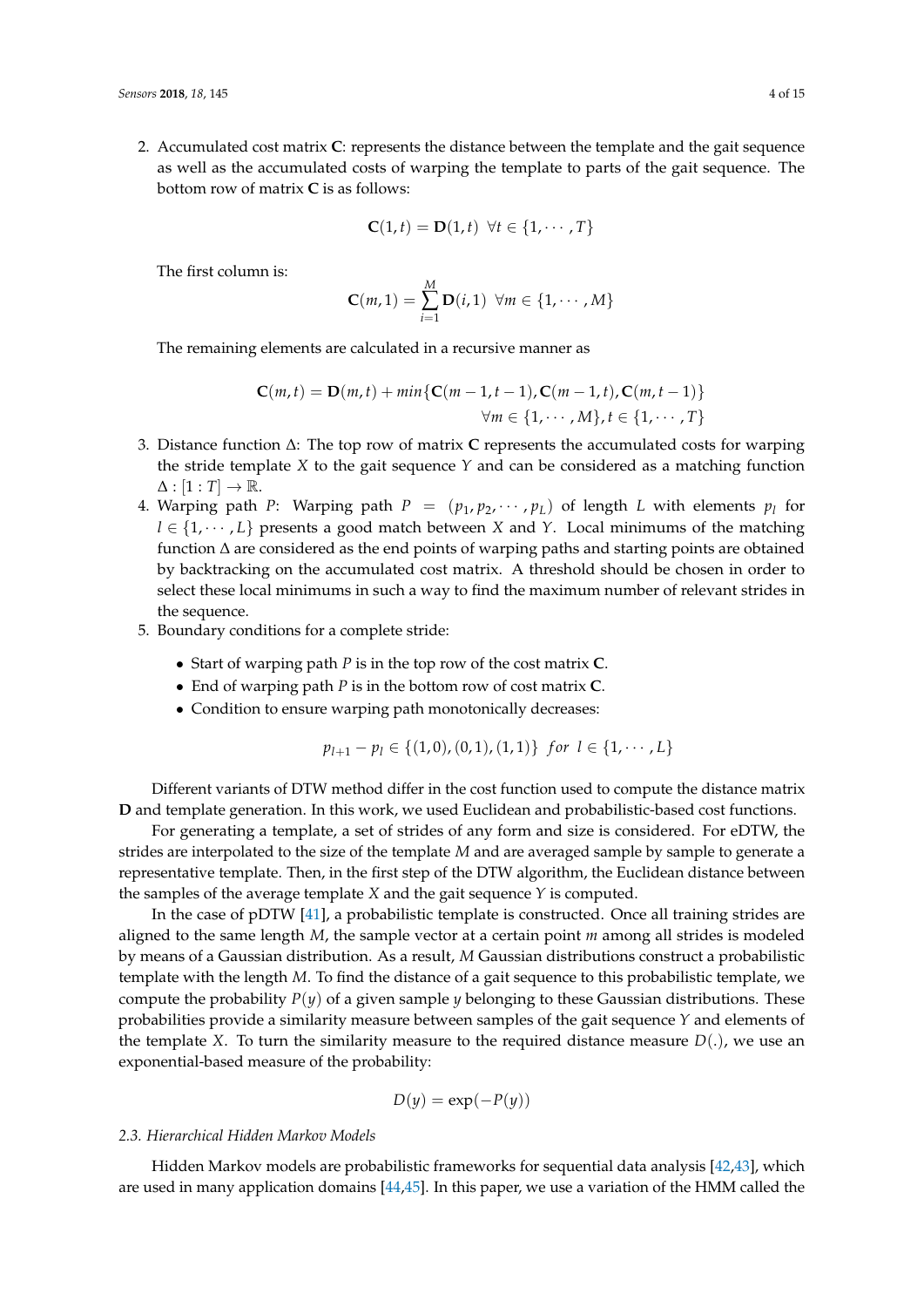2. Accumulated cost matrix **C**: represents the distance between the template and the gait sequence as well as the accumulated costs of warping the template to parts of the gait sequence. The bottom row of matrix **C** is as follows:

$$
\mathbf{C}(1,t) = \mathbf{D}(1,t) \ \forall t \in \{1, \cdots, T\}
$$

The first column is:

$$
\mathbf{C}(m,1)=\sum_{i=1}^M \mathbf{D}(i,1) \ \forall m \in \{1,\cdots,M\}
$$

The remaining elements are calculated in a recursive manner as

$$
C(m,t) = D(m,t) + min\{C(m-1,t-1), C(m-1,t), C(m,t-1)\}\
$$

$$
\forall m \in \{1, \cdots, M\}, t \in \{1, \cdots, T\}
$$

- 3. Distance function ∆: The top row of matrix **C** represents the accumulated costs for warping the stride template  $X$  to the gait sequence  $Y$  and can be considered as a matching function  $\Delta : [1 : T] \rightarrow \mathbb{R}$ .
- 4. Warping path *P*: Warping path  $P = (p_1, p_2, \cdots, p_L)$  of length *L* with elements  $p_l$  for  $l \in \{1, \dots, L\}$  presents a good match between *X* and *Y*. Local minimums of the matching function ∆ are considered as the end points of warping paths and starting points are obtained by backtracking on the accumulated cost matrix. A threshold should be chosen in order to select these local minimums in such a way to find the maximum number of relevant strides in the sequence.
- 5. Boundary conditions for a complete stride:
	- Start of warping path *P* is in the top row of the cost matrix **C**.
	- End of warping path *P* is in the bottom row of cost matrix **C**.
	- Condition to ensure warping path monotonically decreases:

$$
p_{l+1} - p_l \in \{(1,0), (0,1), (1,1)\} \ \ \text{for} \ \ l \in \{1, \cdots, L\}
$$

Different variants of DTW method differ in the cost function used to compute the distance matrix **D** and template generation. In this work, we used Euclidean and probabilistic-based cost functions.

For generating a template, a set of strides of any form and size is considered. For eDTW, the strides are interpolated to the size of the template *M* and are averaged sample by sample to generate a representative template. Then, in the first step of the DTW algorithm, the Euclidean distance between the samples of the average template *X* and the gait sequence *Y* is computed.

In the case of pDTW [\[41\]](#page-14-0), a probabilistic template is constructed. Once all training strides are aligned to the same length *M*, the sample vector at a certain point *m* among all strides is modeled by means of a Gaussian distribution. As a result, *M* Gaussian distributions construct a probabilistic template with the length *M*. To find the distance of a gait sequence to this probabilistic template, we compute the probability  $P(y)$  of a given sample *y* belonging to these Gaussian distributions. These probabilities provide a similarity measure between samples of the gait sequence *Y* and elements of the template *X*. To turn the similarity measure to the required distance measure  $D(.)$ , we use an exponential-based measure of the probability:

$$
D(y) = \exp(-P(y))
$$

#### *2.3. Hierarchical Hidden Markov Models*

Hidden Markov models are probabilistic frameworks for sequential data analysis [\[42](#page-14-1)[,43\]](#page-14-2), which are used in many application domains [\[44](#page-14-3)[,45\]](#page-14-4). In this paper, we use a variation of the HMM called the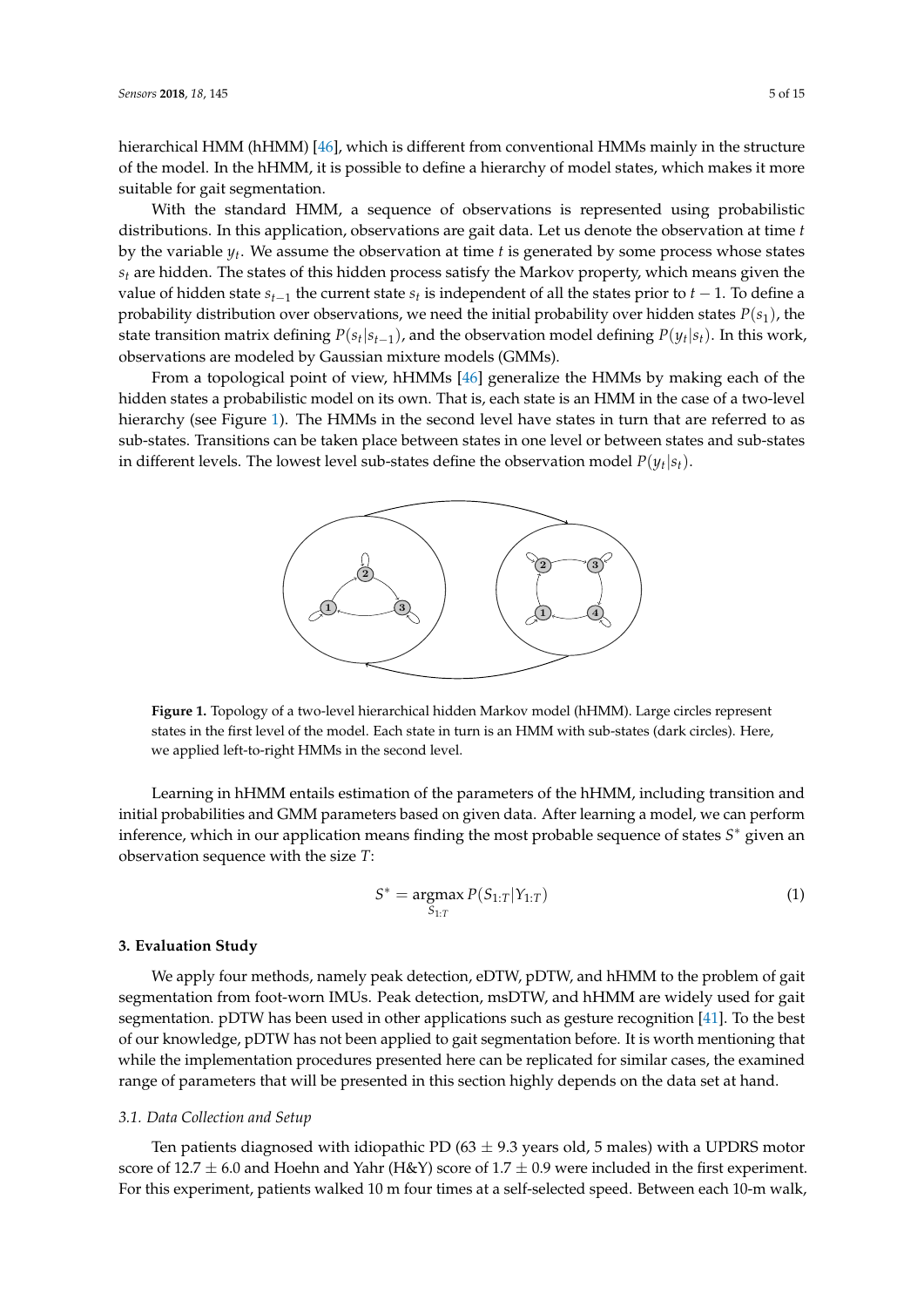hierarchical HMM (hHMM) [\[46\]](#page-14-5), which is different from conventional HMMs mainly in the structure of the model. In the hHMM, it is possible to define a hierarchy of model states, which makes it more suitable for gait segmentation.

With the standard HMM, a sequence of observations is represented using probabilistic distributions. In this application, observations are gait data. Let us denote the observation at time *t* by the variable *y<sup>t</sup>* . We assume the observation at time *t* is generated by some process whose states *s<sup>t</sup>* are hidden. The states of this hidden process satisfy the Markov property, which means given the value of hidden state *st*−<sup>1</sup> the current state *s<sup>t</sup>* is independent of all the states prior to *t* − 1. To define a probability distribution over observations, we need the initial probability over hidden states  $P(s_1)$ , the state transition matrix defining  $P(s_t|s_{t-1})$ , and the observation model defining  $P(y_t|s_t)$ . In this work, observations are modeled by Gaussian mixture models (GMMs).

<span id="page-4-0"></span>From a topological point of view, hHMMs [\[46\]](#page-14-5) generalize the HMMs by making each of the hidden states a probabilistic model on its own. That is, each state is an HMM in the case of a two-level hierarchy (see Figure [1\)](#page-4-0). The HMMs in the second level have states in turn that are referred to as sub-states. Transitions can be taken place between states in one level or between states and sub-states in different levels. The lowest level sub-states define the observation model  $P(y_t|s_t)$ .



**Figure 1.** Topology of a two-level hierarchical hidden Markov model (hHMM). Large circles represent states in the first level of the model. Each state in turn is an HMM with sub-states (dark circles). Here, we applied left-to-right HMMs in the second level.

Learning in hHMM entails estimation of the parameters of the hHMM, including transition and initial probabilities and GMM parameters based on given data. After learning a model, we can perform inference, which in our application means finding the most probable sequence of states *S* <sup>∗</sup> given an observation sequence with the size *T*:

$$
S^* = \underset{S_{1:T}}{\text{argmax}} \, P(S_{1:T} | Y_{1:T}) \tag{1}
$$

# **3. Evaluation Study**

We apply four methods, namely peak detection, eDTW, pDTW, and hHMM to the problem of gait segmentation from foot-worn IMUs. Peak detection, msDTW, and hHMM are widely used for gait segmentation. pDTW has been used in other applications such as gesture recognition [\[41\]](#page-14-0). To the best of our knowledge, pDTW has not been applied to gait segmentation before. It is worth mentioning that while the implementation procedures presented here can be replicated for similar cases, the examined range of parameters that will be presented in this section highly depends on the data set at hand.

## *3.1. Data Collection and Setup*

Ten patients diagnosed with idiopathic PD ( $63 \pm 9.3$  years old, 5 males) with a UPDRS motor score of 12.7  $\pm$  6.0 and Hoehn and Yahr (H&Y) score of 1.7  $\pm$  0.9 were included in the first experiment. For this experiment, patients walked 10 m four times at a self-selected speed. Between each 10-m walk,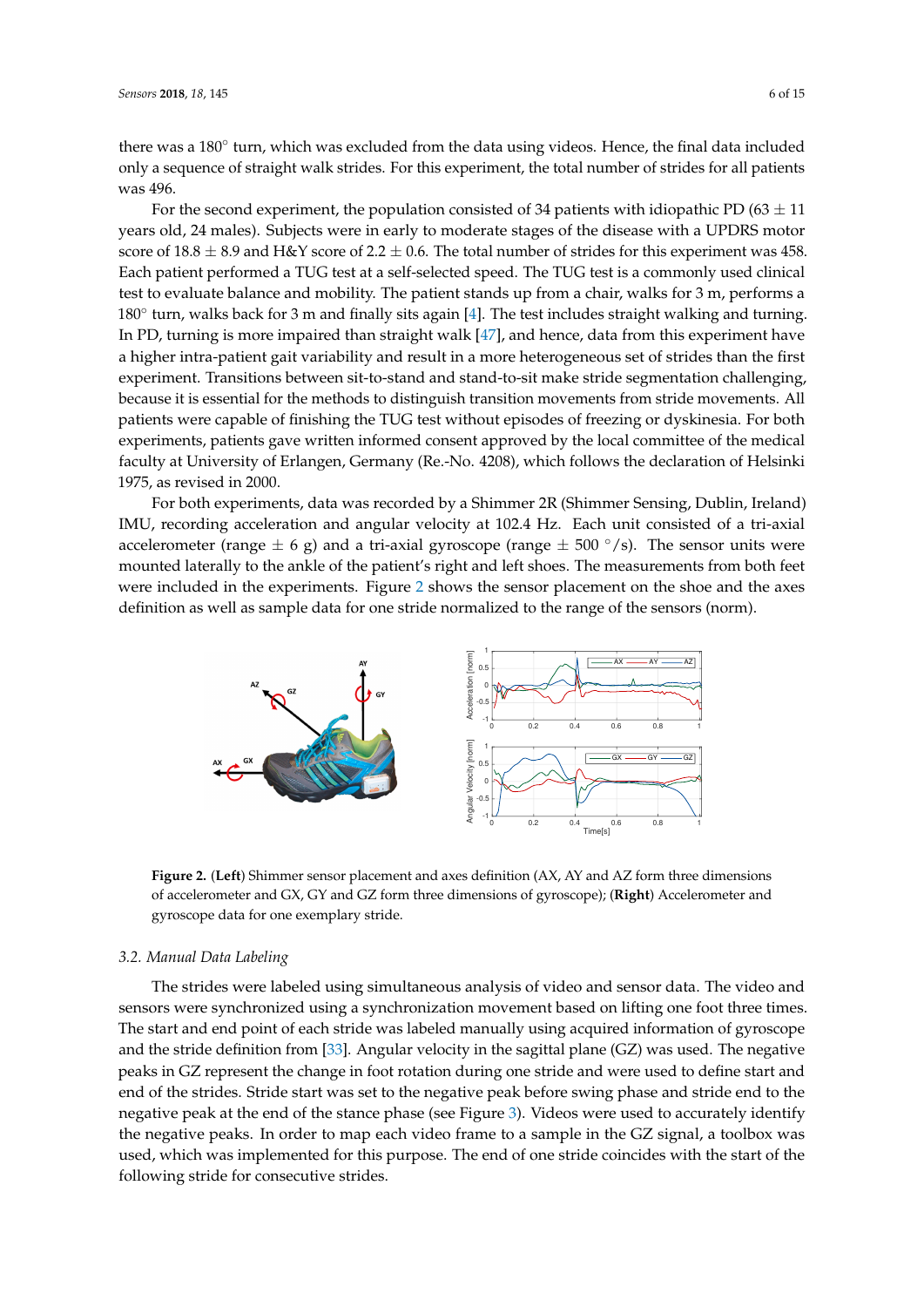there was a 180° turn, which was excluded from the data using videos. Hence, the final data included only a sequence of straight walk strides. For this experiment, the total number of strides for all patients was 496.

For the second experiment, the population consisted of 34 patients with idiopathic PD (63  $\pm$  11 years old, 24 males). Subjects were in early to moderate stages of the disease with a UPDRS motor score of 18.8  $\pm$  8.9 and H&Y score of 2.2  $\pm$  0.6. The total number of strides for this experiment was 458. Each patient performed a TUG test at a self-selected speed. The TUG test is a commonly used clinical test to evaluate balance and mobility. The patient stands up from a chair, walks for 3 m, performs a 180<sup>°</sup> turn, walks back for 3 m and finally sits again [\[4\]](#page-12-3). The test includes straight walking and turning. In PD, turning is more impaired than straight walk [\[47\]](#page-14-6), and hence, data from this experiment have a higher intra-patient gait variability and result in a more heterogeneous set of strides than the first experiment. Transitions between sit-to-stand and stand-to-sit make stride segmentation challenging, because it is essential for the methods to distinguish transition movements from stride movements. All patients were capable of finishing the TUG test without episodes of freezing or dyskinesia. For both experiments, patients gave written informed consent approved by the local committee of the medical faculty at University of Erlangen, Germany (Re.-No. 4208), which follows the declaration of Helsinki 1975, as revised in 2000.

For both experiments, data was recorded by a Shimmer 2R (Shimmer Sensing, Dublin, Ireland) IMU, recording acceleration and angular velocity at 102.4 Hz. Each unit consisted of a tri-axial accelerometer (range  $\pm$  6 g) and a tri-axial gyroscope (range  $\pm$  500  $\degree$ /s). The sensor units were mounted laterally to the ankle of the patient's right and left shoes. The measurements from both feet were included in the experiments. Figure [2](#page-5-0) shows the sensor placement on the shoe and the axes definition as well as sample data for one stride normalized to the range of the sensors (norm).

<span id="page-5-0"></span>

**Figure 2.** (**Left**) Shimmer sensor placement and axes definition (AX, AY and AZ form three dimensions of accelerometer and GX, GY and GZ form three dimensions of gyroscope); (**Right**) Accelerometer and gyroscope data for one exemplary stride.

# *3.2. Manual Data Labeling*

The strides were labeled using simultaneous analysis of video and sensor data. The video and sensors were synchronized using a synchronization movement based on lifting one foot three times. The start and end point of each stride was labeled manually using acquired information of gyroscope and the stride definition from [\[33\]](#page-13-8). Angular velocity in the sagittal plane (GZ) was used. The negative peaks in GZ represent the change in foot rotation during one stride and were used to define start and end of the strides. Stride start was set to the negative peak before swing phase and stride end to the negative peak at the end of the stance phase (see Figure [3\)](#page-6-0). Videos were used to accurately identify the negative peaks. In order to map each video frame to a sample in the GZ signal, a toolbox was used, which was implemented for this purpose. The end of one stride coincides with the start of the following stride for consecutive strides.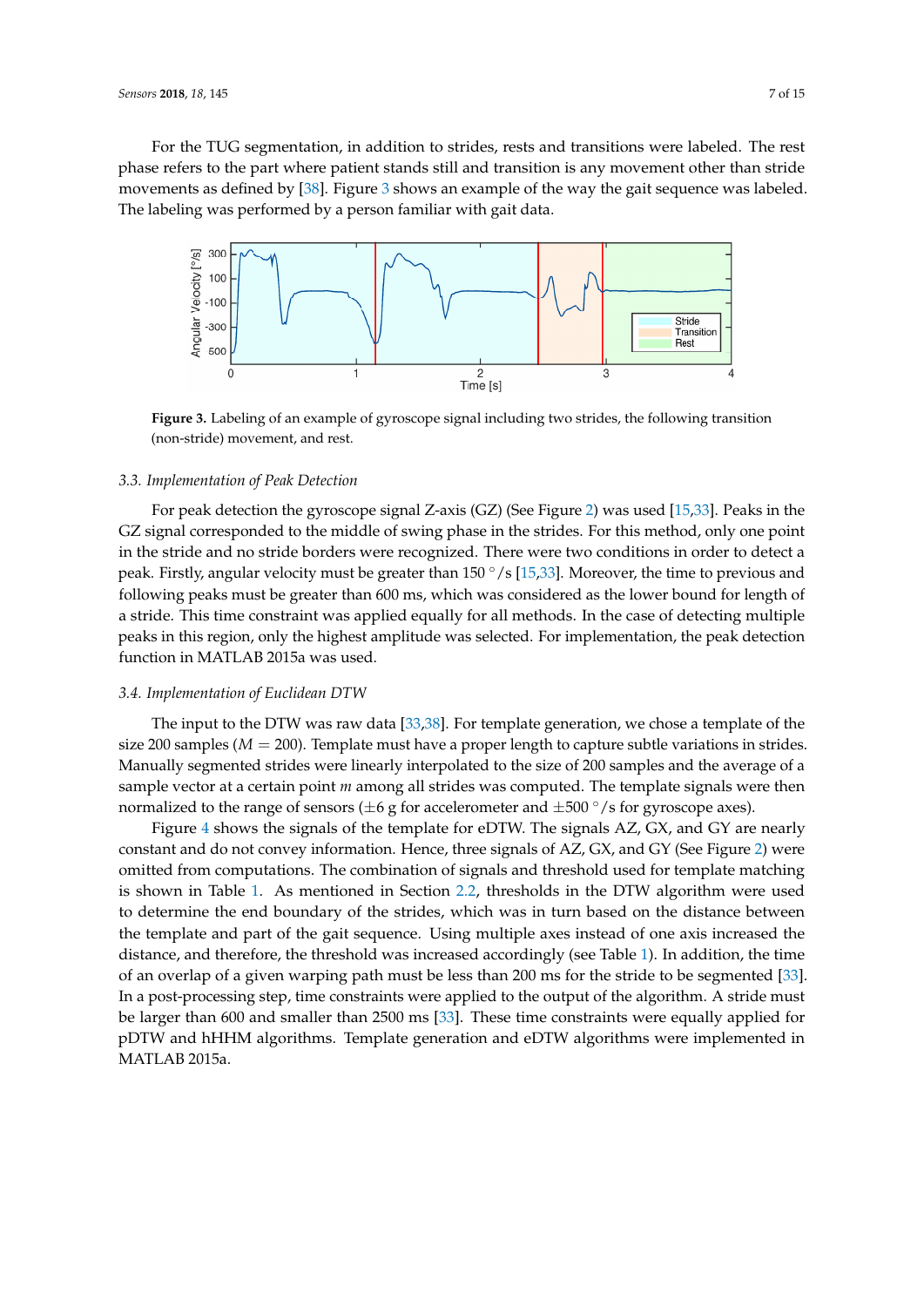For the TUG segmentation, in addition to strides, rests and transitions were labeled. The rest phase refers to the part where patient stands still and transition is any movement other than stride movements as defined by [\[38\]](#page-13-11). Figure [3](#page-6-0) shows an example of the way the gait sequence was labeled. The labeling was performed by a person familiar with gait data.

<span id="page-6-0"></span>

**Figure 3.** Labeling of an example of gyroscope signal including two strides, the following transition (non-stride) movement, and rest.

## *3.3. Implementation of Peak Detection*

For peak detection the gyroscope signal Z-axis (GZ) (See Figure [2\)](#page-5-0) was used [\[15](#page-12-13)[,33\]](#page-13-8). Peaks in the GZ signal corresponded to the middle of swing phase in the strides. For this method, only one point in the stride and no stride borders were recognized. There were two conditions in order to detect a peak. Firstly, angular velocity must be greater than  $150^{\circ}/s$  [\[15,](#page-12-13)[33\]](#page-13-8). Moreover, the time to previous and following peaks must be greater than 600 ms, which was considered as the lower bound for length of a stride. This time constraint was applied equally for all methods. In the case of detecting multiple peaks in this region, only the highest amplitude was selected. For implementation, the peak detection function in MATLAB 2015a was used.

#### *3.4. Implementation of Euclidean DTW*

The input to the DTW was raw data [\[33,](#page-13-8)[38\]](#page-13-11). For template generation, we chose a template of the size 200 samples ( $M = 200$ ). Template must have a proper length to capture subtle variations in strides. Manually segmented strides were linearly interpolated to the size of 200 samples and the average of a sample vector at a certain point *m* among all strides was computed. The template signals were then normalized to the range of sensors ( $\pm 6$  g for accelerometer and  $\pm 500^{\circ}/s$  for gyroscope axes).

Figure [4](#page-7-0) shows the signals of the template for eDTW. The signals AZ, GX, and GY are nearly constant and do not convey information. Hence, three signals of AZ, GX, and GY (See Figure [2\)](#page-5-0) were omitted from computations. The combination of signals and threshold used for template matching is shown in Table [1.](#page-7-1) As mentioned in Section [2.2,](#page-2-0) thresholds in the DTW algorithm were used to determine the end boundary of the strides, which was in turn based on the distance between the template and part of the gait sequence. Using multiple axes instead of one axis increased the distance, and therefore, the threshold was increased accordingly (see Table [1\)](#page-7-1). In addition, the time of an overlap of a given warping path must be less than 200 ms for the stride to be segmented [\[33\]](#page-13-8). In a post-processing step, time constraints were applied to the output of the algorithm. A stride must be larger than 600 and smaller than 2500 ms [\[33\]](#page-13-8). These time constraints were equally applied for pDTW and hHHM algorithms. Template generation and eDTW algorithms were implemented in MATLAB 2015a.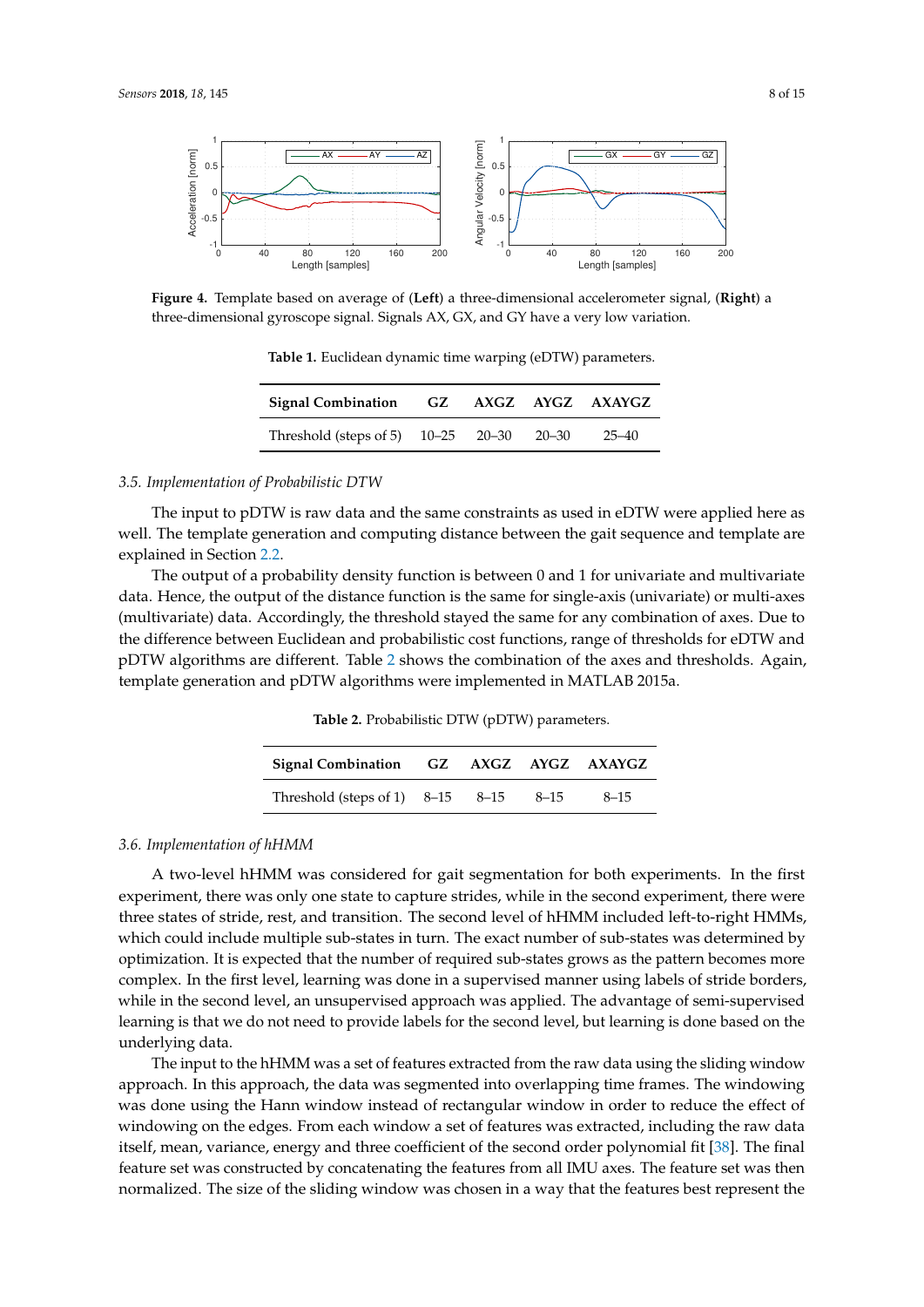<span id="page-7-0"></span>

<span id="page-7-1"></span>**Figure 4.** Template based on average of (**Left**) a three-dimensional accelerometer signal, (**Right**) a three-dimensional gyroscope signal. Signals AX, GX, and GY have a very low variation.

**Table 1.** Euclidean dynamic time warping (eDTW) parameters.

| Signal Combination GZ AXGZ AYGZ AXAYGZ   |  |       |
|------------------------------------------|--|-------|
| Threshold (steps of 5) 10–25 20–30 20–30 |  | 25–40 |

# *3.5. Implementation of Probabilistic DTW*

The input to pDTW is raw data and the same constraints as used in eDTW were applied here as well. The template generation and computing distance between the gait sequence and template are explained in Section [2.2.](#page-2-0)

<span id="page-7-2"></span>The output of a probability density function is between 0 and 1 for univariate and multivariate data. Hence, the output of the distance function is the same for single-axis (univariate) or multi-axes (multivariate) data. Accordingly, the threshold stayed the same for any combination of axes. Due to the difference between Euclidean and probabilistic cost functions, range of thresholds for eDTW and pDTW algorithms are different. Table [2](#page-7-2) shows the combination of the axes and thresholds. Again, template generation and pDTW algorithms were implemented in MATLAB 2015a.

**Table 2.** Probabilistic DTW (pDTW) parameters.

| Signal Combination GZ AXGZ AYGZ AXAYGZ |  |          |          |
|----------------------------------------|--|----------|----------|
| Threshold (steps of 1) $8-15$ $8-15$   |  | $8 - 15$ | $8 - 15$ |

### *3.6. Implementation of hHMM*

A two-level hHMM was considered for gait segmentation for both experiments. In the first experiment, there was only one state to capture strides, while in the second experiment, there were three states of stride, rest, and transition. The second level of hHMM included left-to-right HMMs, which could include multiple sub-states in turn. The exact number of sub-states was determined by optimization. It is expected that the number of required sub-states grows as the pattern becomes more complex. In the first level, learning was done in a supervised manner using labels of stride borders, while in the second level, an unsupervised approach was applied. The advantage of semi-supervised learning is that we do not need to provide labels for the second level, but learning is done based on the underlying data.

The input to the hHMM was a set of features extracted from the raw data using the sliding window approach. In this approach, the data was segmented into overlapping time frames. The windowing was done using the Hann window instead of rectangular window in order to reduce the effect of windowing on the edges. From each window a set of features was extracted, including the raw data itself, mean, variance, energy and three coefficient of the second order polynomial fit [\[38\]](#page-13-11). The final feature set was constructed by concatenating the features from all IMU axes. The feature set was then normalized. The size of the sliding window was chosen in a way that the features best represent the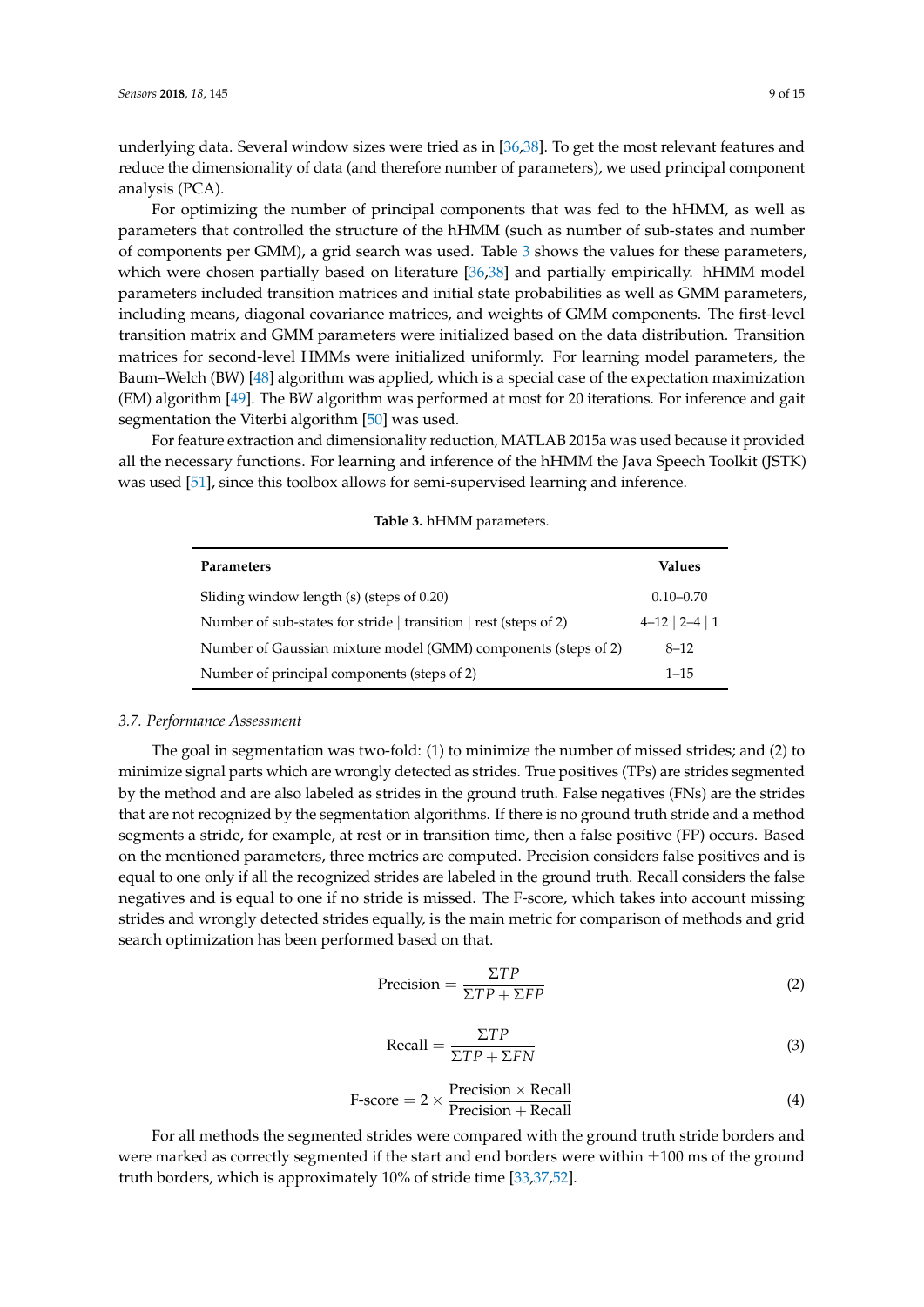underlying data. Several window sizes were tried as in [\[36](#page-13-14)[,38\]](#page-13-11). To get the most relevant features and reduce the dimensionality of data (and therefore number of parameters), we used principal component analysis (PCA).

For optimizing the number of principal components that was fed to the hHMM, as well as parameters that controlled the structure of the hHMM (such as number of sub-states and number of components per GMM), a grid search was used. Table [3](#page-8-0) shows the values for these parameters, which were chosen partially based on literature [\[36](#page-13-14)[,38\]](#page-13-11) and partially empirically. hHMM model parameters included transition matrices and initial state probabilities as well as GMM parameters, including means, diagonal covariance matrices, and weights of GMM components. The first-level transition matrix and GMM parameters were initialized based on the data distribution. Transition matrices for second-level HMMs were initialized uniformly. For learning model parameters, the Baum–Welch (BW) [\[48\]](#page-14-7) algorithm was applied, which is a special case of the expectation maximization (EM) algorithm [\[49\]](#page-14-8). The BW algorithm was performed at most for 20 iterations. For inference and gait segmentation the Viterbi algorithm [\[50\]](#page-14-9) was used.

<span id="page-8-0"></span>For feature extraction and dimensionality reduction, MATLAB 2015a was used because it provided all the necessary functions. For learning and inference of the hHMM the Java Speech Toolkit (JSTK) was used [\[51\]](#page-14-10), since this toolbox allows for semi-supervised learning and inference.

| <b>Parameters</b>                                                | Values           |
|------------------------------------------------------------------|------------------|
| Sliding window length (s) (steps of 0.20)                        | $0.10 - 0.70$    |
| Number of sub-states for stride   transition   rest (steps of 2) | $4-12$   2-4   1 |
| Number of Gaussian mixture model (GMM) components (steps of 2)   | $8 - 12$         |
| Number of principal components (steps of 2)                      | $1 - 15$         |

**Table 3.** hHMM parameters.

## *3.7. Performance Assessment*

The goal in segmentation was two-fold: (1) to minimize the number of missed strides; and (2) to minimize signal parts which are wrongly detected as strides. True positives (TPs) are strides segmented by the method and are also labeled as strides in the ground truth. False negatives (FNs) are the strides that are not recognized by the segmentation algorithms. If there is no ground truth stride and a method segments a stride, for example, at rest or in transition time, then a false positive (FP) occurs. Based on the mentioned parameters, three metrics are computed. Precision considers false positives and is equal to one only if all the recognized strides are labeled in the ground truth. Recall considers the false negatives and is equal to one if no stride is missed. The F-score, which takes into account missing strides and wrongly detected strides equally, is the main metric for comparison of methods and grid search optimization has been performed based on that.

$$
Precision = \frac{\Sigma TP}{\Sigma TP + \Sigma FP}
$$
 (2)

$$
Recall = \frac{\Sigma TP}{\Sigma TP + \Sigma FN}
$$
\n(3)

$$
F\text{-score} = 2 \times \frac{\text{Precision} \times \text{Recall}}{\text{Precision} + \text{Recall}} \tag{4}
$$

For all methods the segmented strides were compared with the ground truth stride borders and were marked as correctly segmented if the start and end borders were within  $\pm 100$  ms of the ground truth borders, which is approximately 10% of stride time [\[33](#page-13-8)[,37](#page-13-10)[,52\]](#page-14-11).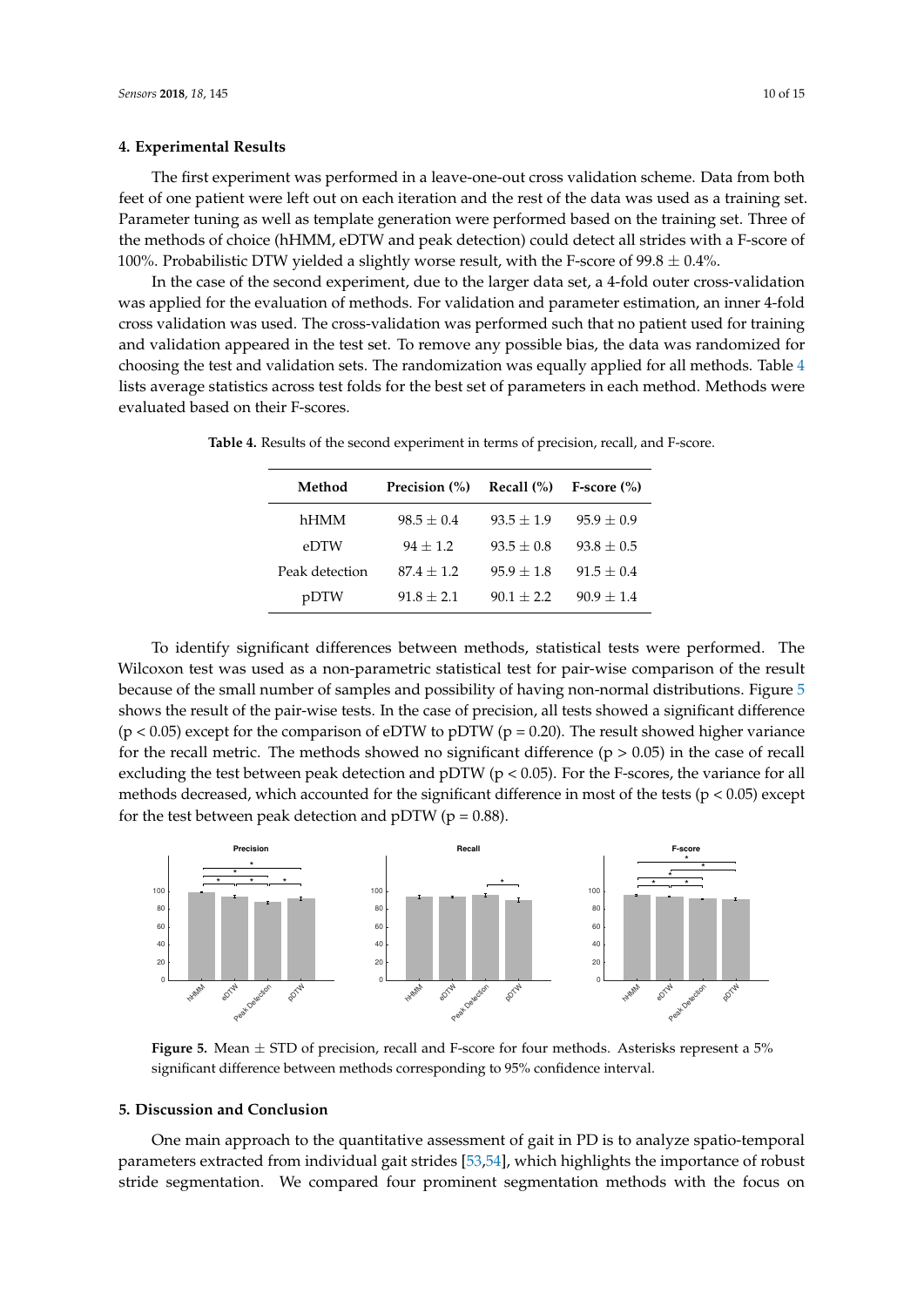# **4. Experimental Results**

The first experiment was performed in a leave-one-out cross validation scheme. Data from both feet of one patient were left out on each iteration and the rest of the data was used as a training set. Parameter tuning as well as template generation were performed based on the training set. Three of the methods of choice (hHMM, eDTW and peak detection) could detect all strides with a F-score of 100%. Probabilistic DTW yielded a slightly worse result, with the F-score of 99.8  $\pm$  0.4%.

In the case of the second experiment, due to the larger data set, a 4-fold outer cross-validation was applied for the evaluation of methods. For validation and parameter estimation, an inner 4-fold cross validation was used. The cross-validation was performed such that no patient used for training and validation appeared in the test set. To remove any possible bias, the data was randomized for choosing the test and validation sets. The randomization was equally applied for all methods. Table [4](#page-9-0) lists average statistics across test folds for the best set of parameters in each method. Methods were evaluated based on their F-scores.

| Method         | Precision (%)  | Recall $(\%)$ | $F-score (%)$  |
|----------------|----------------|---------------|----------------|
| hHMM           | $98.5 \pm 0.4$ | $93.5 + 1.9$  | $95.9 \pm 0.9$ |
| eDTW           | $94 + 1.2$     | $93.5 + 0.8$  | $93.8 + 0.5$   |
| Peak detection | $87.4 + 1.2$   | $95.9 + 1.8$  | $91.5 + 0.4$   |
| pDTW           | $91.8 + 2.1$   | $90.1 + 2.2$  | $90.9 + 1.4$   |

<span id="page-9-0"></span>**Table 4.** Results of the second experiment in terms of precision, recall, and F-score.

To identify significant differences between methods, statistical tests were performed. The Wilcoxon test was used as a non-parametric statistical test for pair-wise comparison of the result because of the small number of samples and possibility of having non-normal distributions. Figure [5](#page-9-1) shows the result of the pair-wise tests. In the case of precision, all tests showed a significant difference  $(p < 0.05)$  except for the comparison of eDTW to pDTW ( $p = 0.20$ ). The result showed higher variance for the recall metric. The methods showed no significant difference  $(p > 0.05)$  in the case of recall excluding the test between peak detection and pDTW ( $p < 0.05$ ). For the F-scores, the variance for all methods decreased, which accounted for the significant difference in most of the tests ( $p < 0.05$ ) except for the test between peak detection and pDTW ( $p = 0.88$ ).

<span id="page-9-1"></span>

**Figure 5.** Mean ± STD of precision, recall and F-score for four methods. Asterisks represent a 5% significant difference between methods corresponding to 95% confidence interval.

#### **5. Discussion and Conclusion**

One main approach to the quantitative assessment of gait in PD is to analyze spatio-temporal parameters extracted from individual gait strides [\[53,](#page-14-12)[54\]](#page-14-13), which highlights the importance of robust stride segmentation. We compared four prominent segmentation methods with the focus on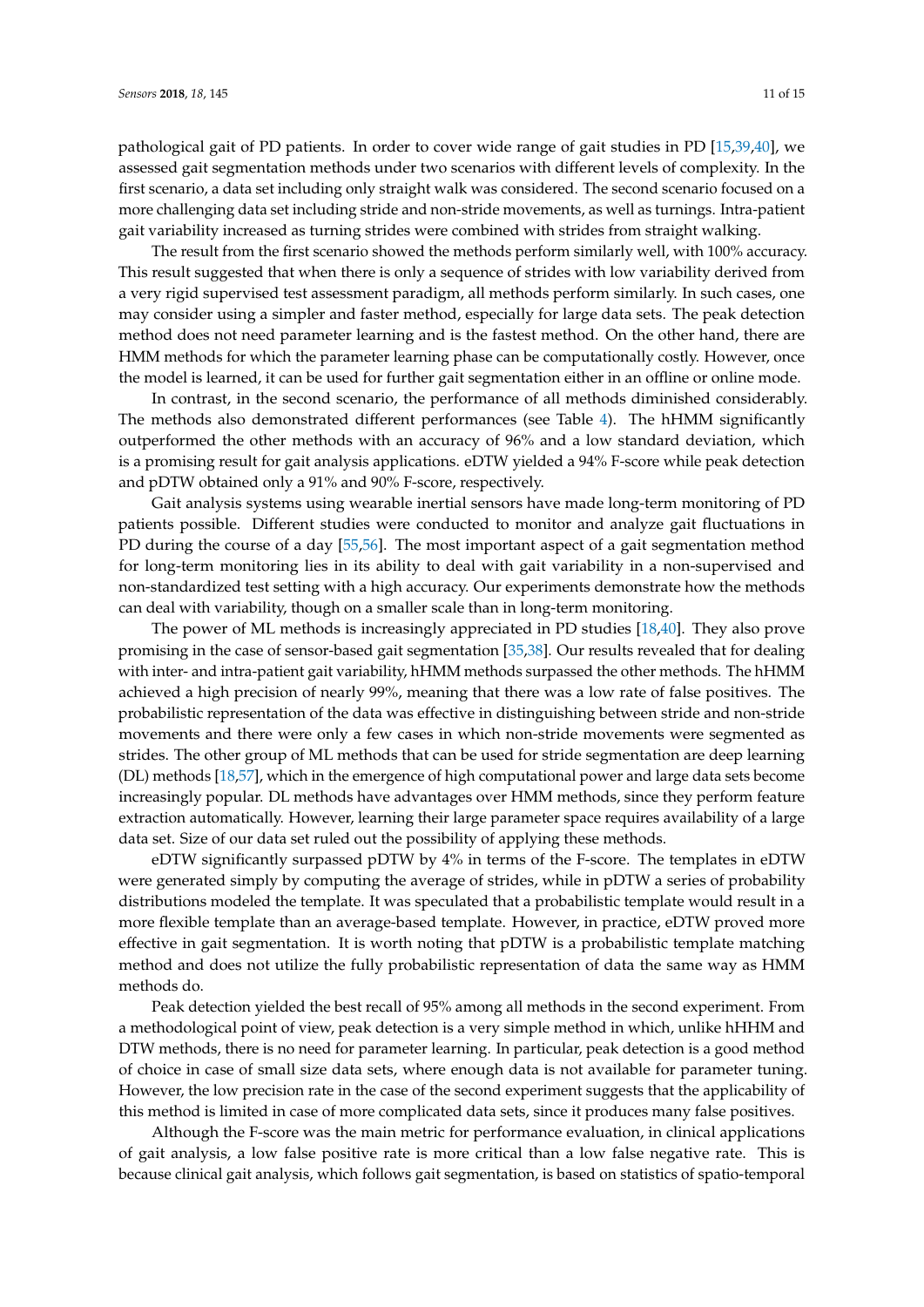pathological gait of PD patients. In order to cover wide range of gait studies in PD [\[15,](#page-12-13)[39,](#page-13-12)[40\]](#page-13-13), we assessed gait segmentation methods under two scenarios with different levels of complexity. In the first scenario, a data set including only straight walk was considered. The second scenario focused on a more challenging data set including stride and non-stride movements, as well as turnings. Intra-patient gait variability increased as turning strides were combined with strides from straight walking.

The result from the first scenario showed the methods perform similarly well, with 100% accuracy. This result suggested that when there is only a sequence of strides with low variability derived from a very rigid supervised test assessment paradigm, all methods perform similarly. In such cases, one may consider using a simpler and faster method, especially for large data sets. The peak detection method does not need parameter learning and is the fastest method. On the other hand, there are HMM methods for which the parameter learning phase can be computationally costly. However, once the model is learned, it can be used for further gait segmentation either in an offline or online mode.

In contrast, in the second scenario, the performance of all methods diminished considerably. The methods also demonstrated different performances (see Table [4\)](#page-9-0). The hHMM significantly outperformed the other methods with an accuracy of 96% and a low standard deviation, which is a promising result for gait analysis applications. eDTW yielded a 94% F-score while peak detection and pDTW obtained only a 91% and 90% F-score, respectively.

Gait analysis systems using wearable inertial sensors have made long-term monitoring of PD patients possible. Different studies were conducted to monitor and analyze gait fluctuations in PD during the course of a day [\[55,](#page-14-14)[56\]](#page-14-15). The most important aspect of a gait segmentation method for long-term monitoring lies in its ability to deal with gait variability in a non-supervised and non-standardized test setting with a high accuracy. Our experiments demonstrate how the methods can deal with variability, though on a smaller scale than in long-term monitoring.

The power of ML methods is increasingly appreciated in PD studies [\[18](#page-12-20)[,40\]](#page-13-13). They also prove promising in the case of sensor-based gait segmentation [\[35,](#page-13-15)[38\]](#page-13-11). Our results revealed that for dealing with inter- and intra-patient gait variability, hHMM methods surpassed the other methods. The hHMM achieved a high precision of nearly 99%, meaning that there was a low rate of false positives. The probabilistic representation of the data was effective in distinguishing between stride and non-stride movements and there were only a few cases in which non-stride movements were segmented as strides. The other group of ML methods that can be used for stride segmentation are deep learning (DL) methods [\[18](#page-12-20)[,57\]](#page-14-16), which in the emergence of high computational power and large data sets become increasingly popular. DL methods have advantages over HMM methods, since they perform feature extraction automatically. However, learning their large parameter space requires availability of a large data set. Size of our data set ruled out the possibility of applying these methods.

eDTW significantly surpassed pDTW by 4% in terms of the F-score. The templates in eDTW were generated simply by computing the average of strides, while in pDTW a series of probability distributions modeled the template. It was speculated that a probabilistic template would result in a more flexible template than an average-based template. However, in practice, eDTW proved more effective in gait segmentation. It is worth noting that pDTW is a probabilistic template matching method and does not utilize the fully probabilistic representation of data the same way as HMM methods do.

Peak detection yielded the best recall of 95% among all methods in the second experiment. From a methodological point of view, peak detection is a very simple method in which, unlike hHHM and DTW methods, there is no need for parameter learning. In particular, peak detection is a good method of choice in case of small size data sets, where enough data is not available for parameter tuning. However, the low precision rate in the case of the second experiment suggests that the applicability of this method is limited in case of more complicated data sets, since it produces many false positives.

Although the F-score was the main metric for performance evaluation, in clinical applications of gait analysis, a low false positive rate is more critical than a low false negative rate. This is because clinical gait analysis, which follows gait segmentation, is based on statistics of spatio-temporal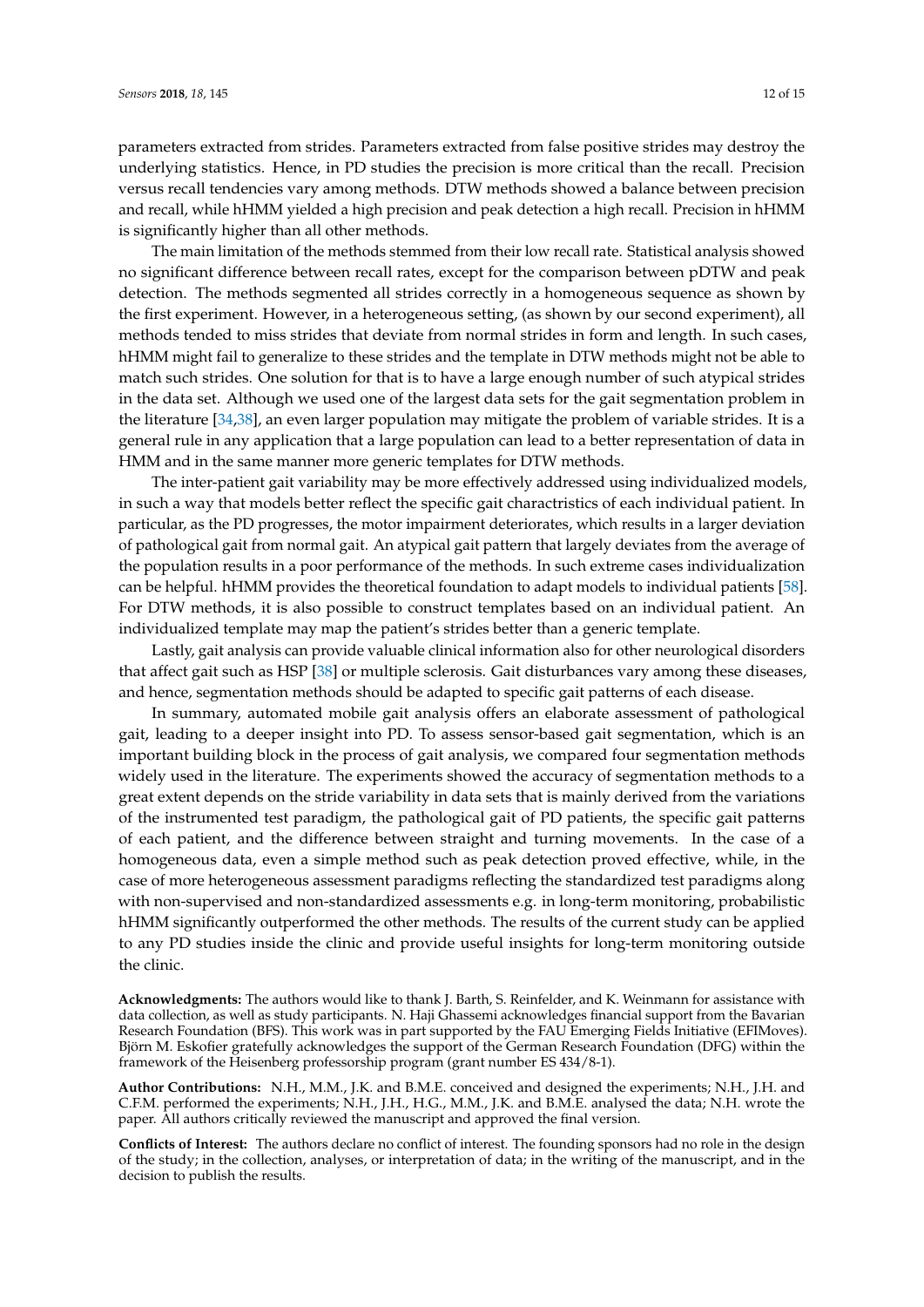parameters extracted from strides. Parameters extracted from false positive strides may destroy the underlying statistics. Hence, in PD studies the precision is more critical than the recall. Precision versus recall tendencies vary among methods. DTW methods showed a balance between precision and recall, while hHMM yielded a high precision and peak detection a high recall. Precision in hHMM is significantly higher than all other methods.

The main limitation of the methods stemmed from their low recall rate. Statistical analysis showed no significant difference between recall rates, except for the comparison between pDTW and peak detection. The methods segmented all strides correctly in a homogeneous sequence as shown by the first experiment. However, in a heterogeneous setting, (as shown by our second experiment), all methods tended to miss strides that deviate from normal strides in form and length. In such cases, hHMM might fail to generalize to these strides and the template in DTW methods might not be able to match such strides. One solution for that is to have a large enough number of such atypical strides in the data set. Although we used one of the largest data sets for the gait segmentation problem in the literature [\[34](#page-13-9)[,38\]](#page-13-11), an even larger population may mitigate the problem of variable strides. It is a general rule in any application that a large population can lead to a better representation of data in HMM and in the same manner more generic templates for DTW methods.

The inter-patient gait variability may be more effectively addressed using individualized models, in such a way that models better reflect the specific gait charactristics of each individual patient. In particular, as the PD progresses, the motor impairment deteriorates, which results in a larger deviation of pathological gait from normal gait. An atypical gait pattern that largely deviates from the average of the population results in a poor performance of the methods. In such extreme cases individualization can be helpful. hHMM provides the theoretical foundation to adapt models to individual patients [\[58\]](#page-14-17). For DTW methods, it is also possible to construct templates based on an individual patient. An individualized template may map the patient's strides better than a generic template.

Lastly, gait analysis can provide valuable clinical information also for other neurological disorders that affect gait such as HSP [\[38\]](#page-13-11) or multiple sclerosis. Gait disturbances vary among these diseases, and hence, segmentation methods should be adapted to specific gait patterns of each disease.

In summary, automated mobile gait analysis offers an elaborate assessment of pathological gait, leading to a deeper insight into PD. To assess sensor-based gait segmentation, which is an important building block in the process of gait analysis, we compared four segmentation methods widely used in the literature. The experiments showed the accuracy of segmentation methods to a great extent depends on the stride variability in data sets that is mainly derived from the variations of the instrumented test paradigm, the pathological gait of PD patients, the specific gait patterns of each patient, and the difference between straight and turning movements. In the case of a homogeneous data, even a simple method such as peak detection proved effective, while, in the case of more heterogeneous assessment paradigms reflecting the standardized test paradigms along with non-supervised and non-standardized assessments e.g. in long-term monitoring, probabilistic hHMM significantly outperformed the other methods. The results of the current study can be applied to any PD studies inside the clinic and provide useful insights for long-term monitoring outside the clinic.

**Acknowledgments:** The authors would like to thank J. Barth, S. Reinfelder, and K. Weinmann for assistance with data collection, as well as study participants. N. Haji Ghassemi acknowledges financial support from the Bavarian Research Foundation (BFS). This work was in part supported by the FAU Emerging Fields Initiative (EFIMoves). Björn M. Eskofier gratefully acknowledges the support of the German Research Foundation (DFG) within the framework of the Heisenberg professorship program (grant number ES 434/8-1).

**Author Contributions:** N.H., M.M., J.K. and B.M.E. conceived and designed the experiments; N.H., J.H. and C.F.M. performed the experiments; N.H., J.H., H.G., M.M., J.K. and B.M.E. analysed the data; N.H. wrote the paper. All authors critically reviewed the manuscript and approved the final version.

**Conflicts of Interest:** The authors declare no conflict of interest. The founding sponsors had no role in the design of the study; in the collection, analyses, or interpretation of data; in the writing of the manuscript, and in the decision to publish the results.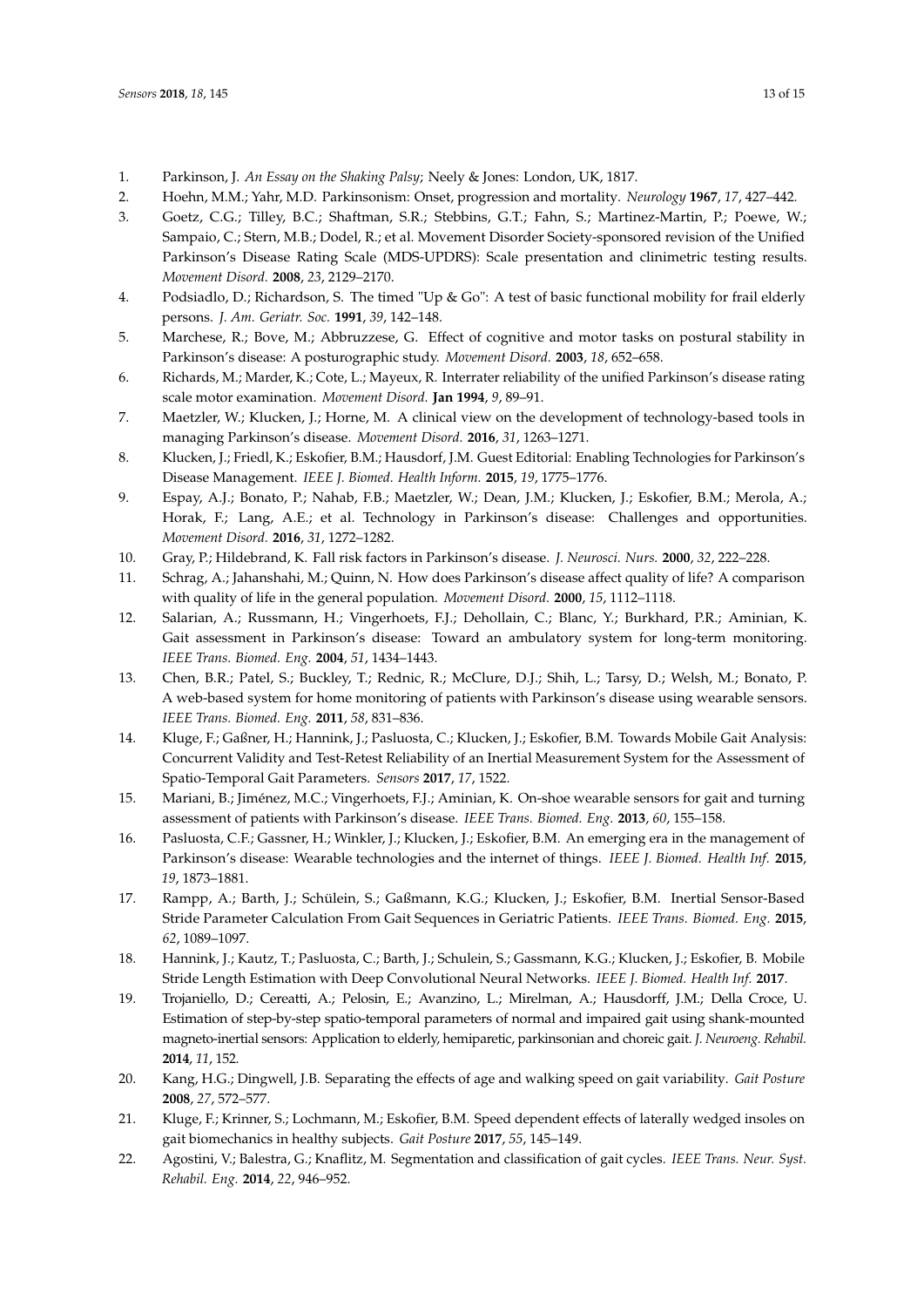- <span id="page-12-0"></span>1. Parkinson, J. *An Essay on the Shaking Palsy*; Neely & Jones: London, UK, 1817.
- <span id="page-12-1"></span>2. Hoehn, M.M.; Yahr, M.D. Parkinsonism: Onset, progression and mortality. *Neurology* **1967**, *17*, 427–442.
- <span id="page-12-2"></span>3. Goetz, C.G.; Tilley, B.C.; Shaftman, S.R.; Stebbins, G.T.; Fahn, S.; Martinez-Martin, P.; Poewe, W.; Sampaio, C.; Stern, M.B.; Dodel, R.; et al. Movement Disorder Society-sponsored revision of the Unified Parkinson's Disease Rating Scale (MDS-UPDRS): Scale presentation and clinimetric testing results. *Movement Disord.* **2008**, *23*, 2129–2170.
- <span id="page-12-3"></span>4. Podsiadlo, D.; Richardson, S. The timed "Up & Go": A test of basic functional mobility for frail elderly persons. *J. Am. Geriatr. Soc.* **1991**, *39*, 142–148.
- <span id="page-12-4"></span>5. Marchese, R.; Bove, M.; Abbruzzese, G. Effect of cognitive and motor tasks on postural stability in Parkinson's disease: A posturographic study. *Movement Disord.* **2003**, *18*, 652–658.
- <span id="page-12-5"></span>6. Richards, M.; Marder, K.; Cote, L.; Mayeux, R. Interrater reliability of the unified Parkinson's disease rating scale motor examination. *Movement Disord.* **Jan 1994**, *9*, 89–91.
- <span id="page-12-6"></span>7. Maetzler, W.; Klucken, J.; Horne, M. A clinical view on the development of technology-based tools in managing Parkinson's disease. *Movement Disord.* **2016**, *31*, 1263–1271.
- 8. Klucken, J.; Friedl, K.; Eskofier, B.M.; Hausdorf, J.M. Guest Editorial: Enabling Technologies for Parkinson's Disease Management. *IEEE J. Biomed. Health Inform.* **2015**, *19*, 1775–1776.
- <span id="page-12-7"></span>9. Espay, A.J.; Bonato, P.; Nahab, F.B.; Maetzler, W.; Dean, J.M.; Klucken, J.; Eskofier, B.M.; Merola, A.; Horak, F.; Lang, A.E.; et al. Technology in Parkinson's disease: Challenges and opportunities. *Movement Disord.* **2016**, *31*, 1272–1282.
- <span id="page-12-8"></span>10. Gray, P.; Hildebrand, K. Fall risk factors in Parkinson's disease. *J. Neurosci. Nurs.* **2000**, *32*, 222–228.
- <span id="page-12-9"></span>11. Schrag, A.; Jahanshahi, M.; Quinn, N. How does Parkinson's disease affect quality of life? A comparison with quality of life in the general population. *Movement Disord.* **2000**, *15*, 1112–1118.
- <span id="page-12-10"></span>12. Salarian, A.; Russmann, H.; Vingerhoets, F.J.; Dehollain, C.; Blanc, Y.; Burkhard, P.R.; Aminian, K. Gait assessment in Parkinson's disease: Toward an ambulatory system for long-term monitoring. *IEEE Trans. Biomed. Eng.* **2004**, *51*, 1434–1443.
- <span id="page-12-11"></span>13. Chen, B.R.; Patel, S.; Buckley, T.; Rednic, R.; McClure, D.J.; Shih, L.; Tarsy, D.; Welsh, M.; Bonato, P. A web-based system for home monitoring of patients with Parkinson's disease using wearable sensors. *IEEE Trans. Biomed. Eng.* **2011**, *58*, 831–836.
- <span id="page-12-12"></span>14. Kluge, F.; Gaßner, H.; Hannink, J.; Pasluosta, C.; Klucken, J.; Eskofier, B.M. Towards Mobile Gait Analysis: Concurrent Validity and Test-Retest Reliability of an Inertial Measurement System for the Assessment of Spatio-Temporal Gait Parameters. *Sensors* **2017**, *17*, 1522.
- <span id="page-12-13"></span>15. Mariani, B.; Jiménez, M.C.; Vingerhoets, F.J.; Aminian, K. On-shoe wearable sensors for gait and turning assessment of patients with Parkinson's disease. *IEEE Trans. Biomed. Eng.* **2013**, *60*, 155–158.
- <span id="page-12-14"></span>16. Pasluosta, C.F.; Gassner, H.; Winkler, J.; Klucken, J.; Eskofier, B.M. An emerging era in the management of Parkinson's disease: Wearable technologies and the internet of things. *IEEE J. Biomed. Health Inf.* **2015**, *19*, 1873–1881.
- <span id="page-12-15"></span>17. Rampp, A.; Barth, J.; Schülein, S.; Gaßmann, K.G.; Klucken, J.; Eskofier, B.M. Inertial Sensor-Based Stride Parameter Calculation From Gait Sequences in Geriatric Patients. *IEEE Trans. Biomed. Eng.* **2015**, *62*, 1089–1097.
- <span id="page-12-20"></span>18. Hannink, J.; Kautz, T.; Pasluosta, C.; Barth, J.; Schulein, S.; Gassmann, K.G.; Klucken, J.; Eskofier, B. Mobile Stride Length Estimation with Deep Convolutional Neural Networks. *IEEE J. Biomed. Health Inf.* **2017**.
- <span id="page-12-16"></span>19. Trojaniello, D.; Cereatti, A.; Pelosin, E.; Avanzino, L.; Mirelman, A.; Hausdorff, J.M.; Della Croce, U. Estimation of step-by-step spatio-temporal parameters of normal and impaired gait using shank-mounted magneto-inertial sensors: Application to elderly, hemiparetic, parkinsonian and choreic gait. *J. Neuroeng. Rehabil.* **2014**, *11*, 152.
- <span id="page-12-17"></span>20. Kang, H.G.; Dingwell, J.B. Separating the effects of age and walking speed on gait variability. *Gait Posture* **2008**, *27*, 572–577.
- <span id="page-12-18"></span>21. Kluge, F.; Krinner, S.; Lochmann, M.; Eskofier, B.M. Speed dependent effects of laterally wedged insoles on gait biomechanics in healthy subjects. *Gait Posture* **2017**, *55*, 145–149.
- <span id="page-12-19"></span>22. Agostini, V.; Balestra, G.; Knaflitz, M. Segmentation and classification of gait cycles. *IEEE Trans. Neur. Syst. Rehabil. Eng.* **2014**, *22*, 946–952.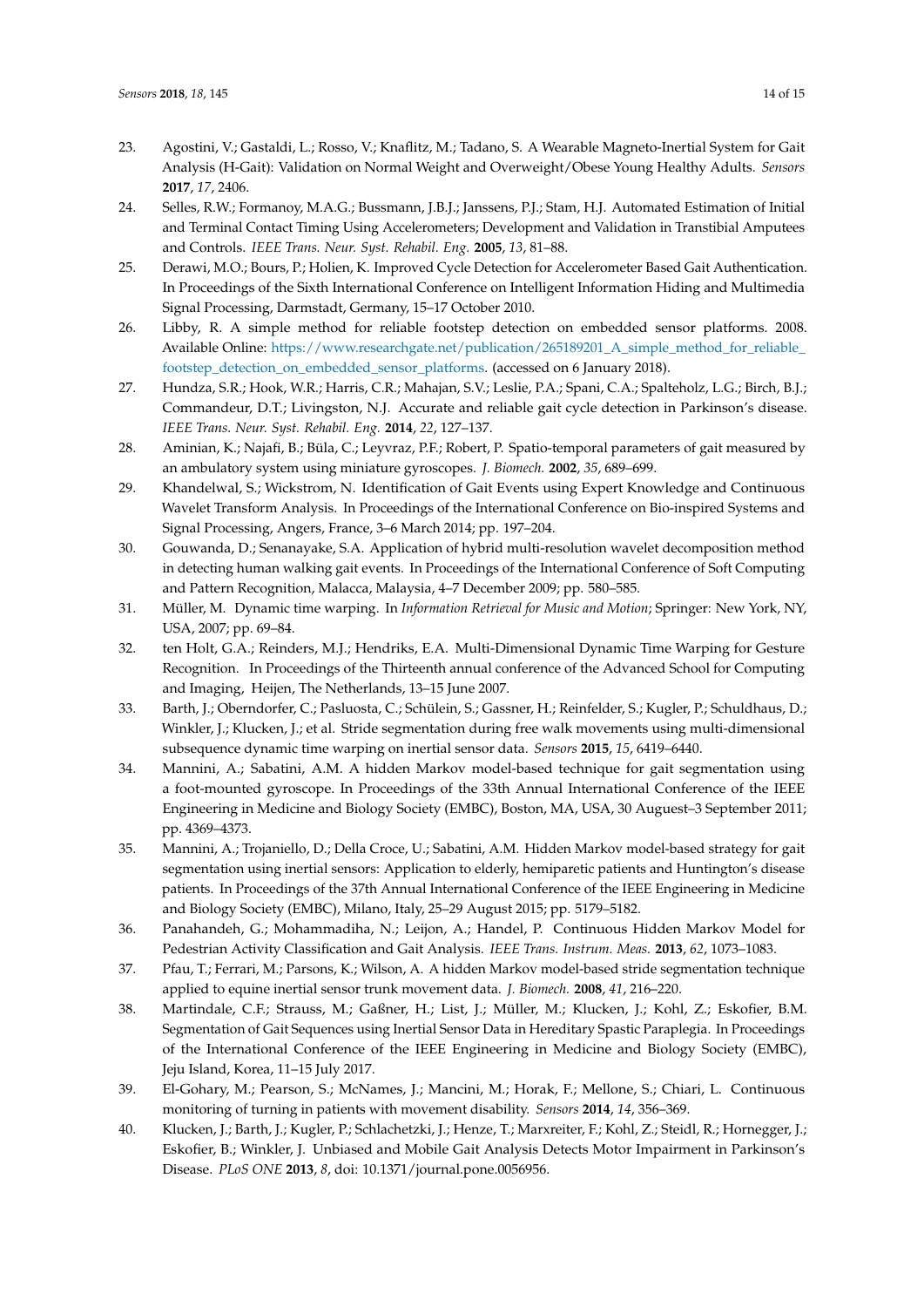- <span id="page-13-0"></span>23. Agostini, V.; Gastaldi, L.; Rosso, V.; Knaflitz, M.; Tadano, S. A Wearable Magneto-Inertial System for Gait Analysis (H-Gait): Validation on Normal Weight and Overweight/Obese Young Healthy Adults. *Sensors* **2017**, *17*, 2406.
- <span id="page-13-1"></span>24. Selles, R.W.; Formanoy, M.A.G.; Bussmann, J.B.J.; Janssens, P.J.; Stam, H.J. Automated Estimation of Initial and Terminal Contact Timing Using Accelerometers; Development and Validation in Transtibial Amputees and Controls. *IEEE Trans. Neur. Syst. Rehabil. Eng.* **2005**, *13*, 81–88.
- 25. Derawi, M.O.; Bours, P.; Holien, K. Improved Cycle Detection for Accelerometer Based Gait Authentication. In Proceedings of the Sixth International Conference on Intelligent Information Hiding and Multimedia Signal Processing, Darmstadt, Germany, 15–17 October 2010.
- <span id="page-13-2"></span>26. Libby, R. A simple method for reliable footstep detection on embedded sensor platforms. 2008. Available Online: [https://www.researchgate.net/publication/265189201\\_A\\_simple\\_method\\_for\\_reliable\\_]( https://www.researchgate.net/publication/265189201_A_simple_method_for_reliable_footstep_detection_on_embedded_sensor_platforms) [footstep\\_detection\\_on\\_embedded\\_sensor\\_platforms.]( https://www.researchgate.net/publication/265189201_A_simple_method_for_reliable_footstep_detection_on_embedded_sensor_platforms) (accessed on 6 January 2018).
- <span id="page-13-3"></span>27. Hundza, S.R.; Hook, W.R.; Harris, C.R.; Mahajan, S.V.; Leslie, P.A.; Spani, C.A.; Spalteholz, L.G.; Birch, B.J.; Commandeur, D.T.; Livingston, N.J. Accurate and reliable gait cycle detection in Parkinson's disease. *IEEE Trans. Neur. Syst. Rehabil. Eng.* **2014**, *22*, 127–137.
- <span id="page-13-4"></span>28. Aminian, K.; Najafi, B.; Büla, C.; Leyvraz, P.F.; Robert, P. Spatio-temporal parameters of gait measured by an ambulatory system using miniature gyroscopes. *J. Biomech.* **2002**, *35*, 689–699.
- 29. Khandelwal, S.; Wickstrom, N. Identification of Gait Events using Expert Knowledge and Continuous Wavelet Transform Analysis. In Proceedings of the International Conference on Bio-inspired Systems and Signal Processing, Angers, France, 3–6 March 2014; pp. 197–204.
- <span id="page-13-5"></span>30. Gouwanda, D.; Senanayake, S.A. Application of hybrid multi-resolution wavelet decomposition method in detecting human walking gait events. In Proceedings of the International Conference of Soft Computing and Pattern Recognition, Malacca, Malaysia, 4–7 December 2009; pp. 580–585.
- <span id="page-13-6"></span>31. Müller, M. Dynamic time warping. In *Information Retrieval for Music and Motion*; Springer: New York, NY, USA, 2007; pp. 69–84.
- <span id="page-13-7"></span>32. ten Holt, G.A.; Reinders, M.J.; Hendriks, E.A. Multi-Dimensional Dynamic Time Warping for Gesture Recognition. In Proceedings of the Thirteenth annual conference of the Advanced School for Computing and Imaging, Heijen, The Netherlands, 13–15 June 2007.
- <span id="page-13-8"></span>33. Barth, J.; Oberndorfer, C.; Pasluosta, C.; Schülein, S.; Gassner, H.; Reinfelder, S.; Kugler, P.; Schuldhaus, D.; Winkler, J.; Klucken, J.; et al. Stride segmentation during free walk movements using multi-dimensional subsequence dynamic time warping on inertial sensor data. *Sensors* **2015**, *15*, 6419–6440.
- <span id="page-13-9"></span>34. Mannini, A.; Sabatini, A.M. A hidden Markov model-based technique for gait segmentation using a foot-mounted gyroscope. In Proceedings of the 33th Annual International Conference of the IEEE Engineering in Medicine and Biology Society (EMBC), Boston, MA, USA, 30 Auguest–3 September 2011; pp. 4369–4373.
- <span id="page-13-15"></span>35. Mannini, A.; Trojaniello, D.; Della Croce, U.; Sabatini, A.M. Hidden Markov model-based strategy for gait segmentation using inertial sensors: Application to elderly, hemiparetic patients and Huntington's disease patients. In Proceedings of the 37th Annual International Conference of the IEEE Engineering in Medicine and Biology Society (EMBC), Milano, Italy, 25–29 August 2015; pp. 5179–5182.
- <span id="page-13-14"></span>36. Panahandeh, G.; Mohammadiha, N.; Leijon, A.; Handel, P. Continuous Hidden Markov Model for Pedestrian Activity Classification and Gait Analysis. *IEEE Trans. Instrum. Meas.* **2013**, *62*, 1073–1083.
- <span id="page-13-10"></span>37. Pfau, T.; Ferrari, M.; Parsons, K.; Wilson, A. A hidden Markov model-based stride segmentation technique applied to equine inertial sensor trunk movement data. *J. Biomech.* **2008**, *41*, 216–220.
- <span id="page-13-11"></span>38. Martindale, C.F.; Strauss, M.; Gaßner, H.; List, J.; Müller, M.; Klucken, J.; Kohl, Z.; Eskofier, B.M. Segmentation of Gait Sequences using Inertial Sensor Data in Hereditary Spastic Paraplegia. In Proceedings of the International Conference of the IEEE Engineering in Medicine and Biology Society (EMBC), Jeju Island, Korea, 11–15 July 2017.
- <span id="page-13-12"></span>39. El-Gohary, M.; Pearson, S.; McNames, J.; Mancini, M.; Horak, F.; Mellone, S.; Chiari, L. Continuous monitoring of turning in patients with movement disability. *Sensors* **2014**, *14*, 356–369.
- <span id="page-13-13"></span>40. Klucken, J.; Barth, J.; Kugler, P.; Schlachetzki, J.; Henze, T.; Marxreiter, F.; Kohl, Z.; Steidl, R.; Hornegger, J.; Eskofier, B.; Winkler, J. Unbiased and Mobile Gait Analysis Detects Motor Impairment in Parkinson's Disease. *PLoS ONE* **2013**, *8*, doi: 10.1371/journal.pone.0056956.